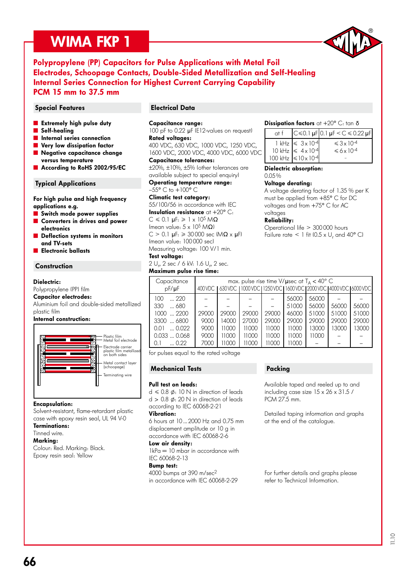# WIMA FKP 1



### Polypropylene (PP) Capacitors for Pulse Applications with Metal Foil Electrodes, Schoopage Contacts, Double-Sided Metallization and Self-Healing Internal Series Connection for Highest Current Carrying Capability PCM 15 mm to 37.5 mm

#### Special Features **Electrical Data**

- **Extremely high pulse duty**
- Self-healing
- **n** Internal series connection
- Very low dissipation factor
- Negative capacitance change versus temperature
- According to RoHS 2002/95/EC

#### Typical Applications

For high pulse and high frequency applications e.g.

- **Switch mode power supplies**
- ˜ Converters in drives and power electronics
- Deflection systems in monitors and TV-sets
- ˜ Electronic ballasts

#### **Construction**

#### Dielectric:

Polypropylene (PP) film

#### Capacitor electrodes:

Aluminium foil and double-sided metallized plastic film

#### Internal construction:



#### Encapsulation:

Solvent-resistant, flame-retardant plastic case with epoxy resin seal, UL 94 V-0

Terminations: Tinned wire.

#### Marking:

Colour: Red. Marking: Black. Epoxy resin seal: Yellow

#### Capacitance range:

100 pF to 0.22 µF (E12-values on request) Rated voltages:

400 VDC, 630 VDC, 1000 VDC, 1250 VDC, 1600 VDC, 2000 VDC, 4000 VDC, 6000 VDC Capacitance tolerances:

±20%, ±10%, ±5% (other tolerances are available subject to special enquiry)

Operating temperature range:

 $-55^{\circ}$  C to  $+100^{\circ}$  C

### Climatic test category:

55/100/56 in accordance with IEC Insulation resistance  $at + 20^{\circ}$  C:  $C \le 0.1$  uF:  $\ge 1 \times 10^5$  MO (mean value:  $5 \times 10^5$  M $\Omega$ )  $C > 0.1$  uF:  $\geqslant 30000$  sec  $(M\Omega \times H)$ (mean value: 100 000 sec) Measuring voltage: 100 V/1 min.

Test voltage:

2 U<sub>r</sub>, 2 sec / 6 kV: 1.6 U<sub>r</sub>, 2 sec. Maximum pulse rise time:

#### Dissipation factors at  $+20^{\circ}$  C: tan  $\delta$

| at f |                                                                   | $C$ ≤0.1 µF 0.1 µF < $C$ ≤ 0.22 µF                 |
|------|-------------------------------------------------------------------|----------------------------------------------------|
|      | $1 kHz \le 3 x 10^{-4}$<br>$10 \text{ kHz} \leq 4 \times 10^{-4}$ | $\leq 3 \times 10^{-4}$<br>$\leq 6 \times 10^{-4}$ |
|      | 100 kHz $\leq 10 \times 10^{-4}$                                  |                                                    |

Dielectric absorption:

### 0.05 %

Voltage derating: A voltage derating factor of 1.35 % per K must be applied from +85° C for DC voltages and from +75° C for AC voltages

#### Reliability:

Operational life > 300 000 hours Failure rate  $\leq 1$  fit (0.5 x U<sub>r</sub> and 40° C)

| Capacitance<br>$pF/\mu F$                                                                                    | max. pulse rise time V/ $\mu$ sec at T <sub>A</sub> < 40° C<br>630 VDC 11000 VDC 11250 VDC 11600 VDC 12000 VDC 14000 VDC 16000 VDC 1<br>400 VDC |                                           |                                           |                                           |                                                             |                                                    |                                  |                                  |  |  |
|--------------------------------------------------------------------------------------------------------------|-------------------------------------------------------------------------------------------------------------------------------------------------|-------------------------------------------|-------------------------------------------|-------------------------------------------|-------------------------------------------------------------|----------------------------------------------------|----------------------------------|----------------------------------|--|--|
| $\ldots$ 220<br>100<br>330<br>680<br>$1000$ 2200<br>3300  6800<br>0.022<br>0.01<br>0.0330.068<br>0.22<br>0.1 | 29000<br>9000<br>9000<br>9000<br>7000                                                                                                           | 29000<br>14000<br>11000<br>11000<br>11000 | 29000<br>27000<br>11000<br>11000<br>11000 | 29000<br>29000<br>11000<br>11000<br>11000 | 56000<br>51000<br>46000<br>29000<br>11000<br>11000<br>11000 | 56000<br>56000<br>51000<br>29000<br>13000<br>11000 | 56000<br>51000<br>29000<br>13000 | 56000<br>51000<br>29000<br>13000 |  |  |

for pulses equal to the rated voltage

#### Mechanical Tests

#### Pull test on leads:

 $d \le 0.8$   $\phi$ : 10 N in direction of leads  $d > 0.8$   $\phi$ : 20 N in direction of leads according to IEC 60068-2-21

#### Vibration:

6 hours at 10 ... 2000 Hz and 0.75 mm displacement amplitude or 10 g in accordance with IEC 60068-2-6

#### Low air density:

 $1kPa = 10$  mbar in accordance with IEC 60068-2-13

#### Bump test:

4000 bumps at 390 m/sec2 in accordance with IEC 60068-2-29

#### Packing

Available taped and reeled up to and including case size 15 x 26 x 31.5 / PCM 27.5 mm.

Detailed taping information and graphs at the end of the catalogue.

For further details and graphs please refer to Technical Information.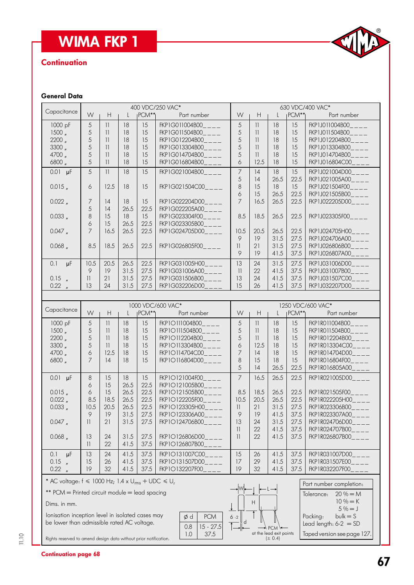# WIMA FKP 1

# **Continuation**



#### General Data

| Capacitance                                                    |                      |                          |        |                    | 400 VDC/250 VAC*                 | 630 VDC/400 VAC*         |                                                             |              |                   |                                   |  |
|----------------------------------------------------------------|----------------------|--------------------------|--------|--------------------|----------------------------------|--------------------------|-------------------------------------------------------------|--------------|-------------------|-----------------------------------|--|
|                                                                | W                    | H                        | L      | IPCM <sup>**</sup> | Part number                      | W                        | Н                                                           | $\mathbf{L}$ | $PCM**$           | Part number                       |  |
| 1000 pF                                                        | 5                    | 11                       | 18     | 15                 | FKP1G011004B00<br>$---$          | 5                        | 11                                                          | 18           | 15                | FKP1J011004B00____                |  |
| 1500,                                                          | 5                    | 11                       | 18     | 15                 | FKP1G011504B00____               | 5                        | 11                                                          | 18           | 15                | FKP1J011504B00____                |  |
| 2200 <sub>n</sub>                                              | 5                    | 11                       | 18     | 15                 | FKP1G012204B00____               | 5                        | $\overline{11}$                                             | 18           | 15                | FKP1J012204B00____                |  |
| 3300 <sub>''</sub>                                             | 5                    | 11                       | 18     | 15                 | FKP1G013304B00____               | 5                        | $\overline{\mathcal{L}}$                                    | 18           | 15                | FKP1J013304B00____                |  |
| 4700 "                                                         | 5                    | 11                       | 18     | 15                 | FKP1G014704B00                   | 5                        | $\overline{\phantom{a}}$                                    | 18           | 15                | FKP1J014704B00                    |  |
| 6800                                                           | 5                    | 11                       | 18     | 15                 | FKP1G016804B00____               | 6                        | 12.5                                                        | 18           | 15                | FKP1J016804C00____                |  |
|                                                                |                      |                          |        |                    |                                  |                          |                                                             |              |                   |                                   |  |
| $0.01$ µF                                                      | 5                    | 11                       | 18     | 15                 | FKP1G021004B00____               | 7                        | 4                                                           | 18           | 15                | FKP1J021004D00                    |  |
|                                                                |                      |                          |        |                    |                                  | 5                        | 4                                                           | 26.5         | 22.5              | FKP1J021005A00                    |  |
| 0.015                                                          | 6                    | 12.5                     | 18     | 15                 | FKP1G021504C00____               | $\,8\,$                  | 15                                                          | 18           | 15                | $FKP1J021504F00$ <sub>___</sub> _ |  |
|                                                                |                      |                          |        |                    |                                  | 6                        | 15                                                          | 26.5         | 22.5              | $FKP1J021505B00$ <sub>____</sub>  |  |
| $0.022$ $_{\prime\prime}$                                      | $\overline{7}$       | 14                       | 18     | 15                 | FKP1G022204D00____               | $\overline{7}$           | 16.5                                                        | 26.5         | 22.5              | FKP1J022205D00____                |  |
|                                                                | 5                    | 14                       | 26.5   | 22.5               | FKP1G022205A00____               |                          |                                                             |              |                   |                                   |  |
| 0.033 <sub>''</sub>                                            | 8                    | 15                       | 18     | 15                 | FKP1G023304F00____               | 8.5                      | 18.5                                                        | 26.5         | 22.5              | FKP1J023305F00____                |  |
|                                                                | 6                    | 15                       | 26.5   | 22.5               | FKP1G023305B00____               |                          |                                                             |              |                   |                                   |  |
| 0.047                                                          | $\overline{7}$       | 16.5                     | 26.5   | 22.5               | FKP1G024705D00____               | 10.5                     | 20.5                                                        | 26.5         | 22.5              | FKP1J024705H00                    |  |
|                                                                |                      |                          |        |                    |                                  | 9                        | 19                                                          | 31.5         | 27.5              | FKP1J024706A00____                |  |
| 0.068                                                          | 8.5                  | 18.5                     | 26.5   | 22.5               | FKP1G026805F00____               | 11                       | 21                                                          | 31.5         | 27.5              | FKP1J026806B00____                |  |
|                                                                |                      |                          |        |                    |                                  | 9                        | 19                                                          | 41.5         | 37.5              | FKP1J026807A00____                |  |
|                                                                |                      |                          |        |                    |                                  |                          |                                                             |              |                   |                                   |  |
| $\mu$ F<br>0.1                                                 | 10.5                 | 20.5                     | 26.5   | 22.5               | FKP1G031005H00                   | 13                       | 24                                                          | 31.5         | 27.5              | FKP1J031006D00____                |  |
|                                                                | 9                    | 19                       | 31.5   | 27.5               | FKP1G031006A00____               | $\overline{\phantom{a}}$ | 22                                                          | 41.5         | 37.5              | FKP1J031007B00                    |  |
| $0.15$ "                                                       | $\vert \vert$        | 21                       | 31.5   | 27.5               | FKP1G031506B00____               | 13                       | 24                                                          | 41.5         | 37.5              | FKP1J031507C00____                |  |
| 0.22<br>$\overline{u}$                                         | 13                   | 24                       | 31.5   | 27.5               | FKP1G032206D00                   | 15                       | 26                                                          | 41.5         | 37.5              | FKP1J032207D00____                |  |
|                                                                |                      |                          |        |                    |                                  |                          |                                                             |              |                   |                                   |  |
|                                                                |                      |                          |        |                    | 1000 VDC/600 VAC*                |                          |                                                             |              |                   | 1250 VDC/600 VAC*                 |  |
| Capacitance                                                    | W                    | $\mathsf H$              | L      | $PCM**$            | Part number                      | W                        | $\mathsf{H}% _{\mathbb{R}}^{1}\left( \mathbb{R}^{2}\right)$ | $\mathsf{L}$ | PCM <sup>**</sup> | Part number                       |  |
|                                                                |                      |                          |        |                    |                                  |                          |                                                             |              |                   |                                   |  |
| 1000 pF                                                        | 5                    | 11                       | 18     | 15                 | FKP10111004B00                   | 5                        | 11                                                          | 18           | 15                | FKP1R011004B00                    |  |
| 1500 <sub>''</sub>                                             | 5                    | $\overline{\mathcal{H}}$ | 18     | 15                 | FKP10111504B00                   | 5                        | 11                                                          | 18           | 15                | FKP1R011504B00                    |  |
| 2200 <sub>n</sub>                                              | 5                    | 11                       | 18     | 15                 | FKP10112204B00                   | 5                        | $\overline{\phantom{a}}$                                    | 18           | 15                | FKP1R012204B00                    |  |
| 3300 <sub>''</sub>                                             | 5                    | $\vert \vert$            | 18     | 15                 | FKP10113304B00____               | 6                        | 12.5                                                        | 18           | 15                | FKP1R013304C00____                |  |
| 4700 "                                                         | 6                    | 12.5                     | 18     | 15                 | FKP10114704C00____               | 7                        | 14                                                          | 18           | 15                | FKP1R014704D00____                |  |
| 6800 "                                                         | $\overline{7}$       | 14                       | 18     | 15                 | FKP1O116804D00____               | 8                        | 15                                                          | 18           | 15                | FKP1R016804F00____                |  |
|                                                                |                      |                          |        |                    |                                  | 5                        | 4                                                           | 26.5         | 22.5              | FKP1R016805A00____                |  |
| $0.01$ µF                                                      | $\,8\,$              | 15                       | 18     | 15                 | $FKP1O121004F00$ <sub>____</sub> | $\overline{7}$           | 16.5                                                        | 26.5         | 22.5              | FKP1R021005D00____                |  |
|                                                                | 6                    | 15                       | 26.5   | 22.5               | FKP1O121005B00____               |                          |                                                             |              |                   |                                   |  |
| 0.015                                                          | $\acute{\mathrm{o}}$ | 15                       | 26.5   | 22.5               | FKP10121505B00____               | 8.5                      | 18.5                                                        | 26.5         | 22.5              | FKP1R021505F00____                |  |
| $0.022$ $_{\prime\prime}$                                      | 8.5                  | 18.5                     | 26.5   | 22.5               | FKP10122205F00                   | 10.5                     | 20.5                                                        | 26.5         | 22.5              | FKP1R022205H00____                |  |
| 0.033,                                                         | 10.5                 | 20.5                     | 26.5   | 22.5               | FKP1O123305H00                   | $\mathbf{1}$             | 21                                                          | 31.5         | 27.5              | FKP1R023306B00                    |  |
|                                                                | 9                    | $19$                     | $31.5$ | 27.5               | FKP1O123306A00                   | 9                        | 19                                                          | 41.5         | 37.5              | FKP1R023307A00                    |  |
|                                                                | $\overline{11}$      | 21                       | 31.5   | 27.5               | FKP1O124706B00                   | 13                       | 24                                                          | 31.5         | 27.5              | FKP1R024706D00___                 |  |
| $0.047$ $_{\prime\prime}$                                      |                      |                          |        |                    |                                  | $\overline{\phantom{a}}$ | 22                                                          | 41.5         |                   | FKP1R024707B00__                  |  |
|                                                                |                      |                          |        |                    |                                  |                          |                                                             |              | 37.5              |                                   |  |
| $0.068$ $_{\prime\prime}$                                      | 13                   | 24                       | 31.5   | 27.5               | FKP10126806D00                   | 11                       | 22                                                          | 41.5         | 37.5              | FKP1R026807B00____                |  |
|                                                                | $\vert \vert$        | 22                       | 41.5   | 37.5               | FKP10126807B00                   |                          |                                                             |              |                   |                                   |  |
| 0.1<br>$\mu$ F                                                 | 13                   | 24                       | 41.5   | 37.5               | FKP10131007C00____               | 15                       | 26                                                          | 41.5         | 37.5              | FKP1R031007D00____                |  |
| $0.15$ "                                                       | 15                   | 26                       | 41.5   | 37.5               | FKP10131507D00                   | 17                       | 29                                                          | 41.5         | 37.5              | FKP1R031507E00____                |  |
| 0.22 <sub>n</sub>                                              | 19                   | 32                       | 41.5   | 37.5               | FKP1O132207F00                   | 19                       | 32                                                          | 41.5         | 37.5              | FKP1R032207F00                    |  |
|                                                                |                      |                          |        |                    |                                  |                          |                                                             |              |                   |                                   |  |
| * AC voltage: $f \le 1000$ Hz; 1.4 x $U_{rms}$ + UDC $\le U_r$ |                      |                          |        |                    |                                  |                          |                                                             |              |                   | Part number completion:           |  |
| ** PCM = Printed circuit module = lead spacing                 |                      |                          |        |                    |                                  |                          |                                                             |              |                   | $20% = M$<br>Tolerance:           |  |
|                                                                |                      |                          |        |                    |                                  |                          |                                                             |              |                   | $10\% = K$                        |  |
| Dims. in mm.                                                   |                      |                          |        |                    |                                  |                          | H                                                           |              |                   | $5% = J$                          |  |
|                                                                |                      |                          |        |                    | ød<br><b>PCM</b>                 | 6.2                      |                                                             |              |                   | Packina:<br>$bulk = S$            |  |
| lonisation inception level in isolated cases may               |                      |                          |        |                    |                                  |                          |                                                             |              |                   |                                   |  |

Rights reserved to amend design data without prior notification.

be lower than admissible rated AC voltage.

11.10



| Part number completion: |                             |  |  |  |  |  |  |  |  |  |
|-------------------------|-----------------------------|--|--|--|--|--|--|--|--|--|
| Tolerance:              | $20% = M$                   |  |  |  |  |  |  |  |  |  |
|                         | $10\% = K$                  |  |  |  |  |  |  |  |  |  |
|                         | $5\% = 1$                   |  |  |  |  |  |  |  |  |  |
| Packing:                | $bulk = S$                  |  |  |  |  |  |  |  |  |  |
| Lead length: $6-2 = SD$ |                             |  |  |  |  |  |  |  |  |  |
|                         | Taped version see page 127. |  |  |  |  |  |  |  |  |  |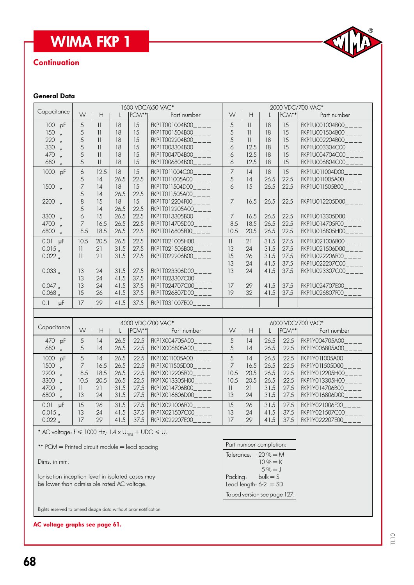# **WIMA FKP 1**

## **Continuation**



#### General Data

| <b>WIMA FKP 1</b>                                                                                                                                                                                                                                                                                         |                                                                                         |                                                                                                                                                                             |                                                                                                                    |                                                                                                                    |                                                                                                                                                                                                                                                                                                                                                                    |                                                                                                                                             |                                                                                                                                       |                                                                                                        |                                                                                                        | CIVA                                                                                                                                                                                                                                                                                                                                   |
|-----------------------------------------------------------------------------------------------------------------------------------------------------------------------------------------------------------------------------------------------------------------------------------------------------------|-----------------------------------------------------------------------------------------|-----------------------------------------------------------------------------------------------------------------------------------------------------------------------------|--------------------------------------------------------------------------------------------------------------------|--------------------------------------------------------------------------------------------------------------------|--------------------------------------------------------------------------------------------------------------------------------------------------------------------------------------------------------------------------------------------------------------------------------------------------------------------------------------------------------------------|---------------------------------------------------------------------------------------------------------------------------------------------|---------------------------------------------------------------------------------------------------------------------------------------|--------------------------------------------------------------------------------------------------------|--------------------------------------------------------------------------------------------------------|----------------------------------------------------------------------------------------------------------------------------------------------------------------------------------------------------------------------------------------------------------------------------------------------------------------------------------------|
| <b>Continuation</b>                                                                                                                                                                                                                                                                                       |                                                                                         |                                                                                                                                                                             |                                                                                                                    |                                                                                                                    |                                                                                                                                                                                                                                                                                                                                                                    |                                                                                                                                             |                                                                                                                                       |                                                                                                        |                                                                                                        |                                                                                                                                                                                                                                                                                                                                        |
| <b>General Data</b>                                                                                                                                                                                                                                                                                       |                                                                                         |                                                                                                                                                                             |                                                                                                                    |                                                                                                                    |                                                                                                                                                                                                                                                                                                                                                                    |                                                                                                                                             |                                                                                                                                       |                                                                                                        |                                                                                                        |                                                                                                                                                                                                                                                                                                                                        |
| Capacitance                                                                                                                                                                                                                                                                                               | W                                                                                       | H.                                                                                                                                                                          | $\mathbf{L}$                                                                                                       | PCM**                                                                                                              | 1600 VDC/650 VAC*<br>Part number                                                                                                                                                                                                                                                                                                                                   | W                                                                                                                                           | $\mathsf{H}$                                                                                                                          | L                                                                                                      | PCM**                                                                                                  | 2000 VDC/700 VAC*<br>Part number                                                                                                                                                                                                                                                                                                       |
| 100 pF<br>150<br>$\mathbf{u}$<br>220<br>$\mathbf{u}$<br>330<br>$\mathbf{u}$<br>470<br>$\mathbf{u}$<br>680<br>$\mathbf{u}$<br>1000 pF<br>$1500$ $\frac{1500}{1500}$<br>$2200$ $\frac{1}{2}$<br>3300 "<br>4700<br>$\mathbf{u}$<br>6800 "<br>$0.01$ $\mu$ F<br>$0.015$ $_{\prime\prime}$                     | 5<br>5<br>5<br>5<br>5<br>5<br>6<br>5<br>7<br>5<br>8<br>5<br>6<br>7<br>8.5<br>10.5<br>11 | $\vert \vert$<br>$\vert \vert$<br>11<br>$\vert \vert$<br>$\vert \vert$<br>$\overline{\mathbf{1}}$<br>12.5<br>14<br>14<br>14<br>15<br>14<br>15<br>16.5<br>18.5<br>20.5<br>21 | 18<br>18<br>18<br>18<br>18<br>18<br>18<br>26.5<br>18<br>26.5<br>18<br>26.5<br>26.5<br>26.5<br>26.5<br>26.5<br>31.5 | 15<br>15<br>15<br>15<br>15<br>15<br>15<br>22.5<br>15<br>22.5<br>15<br>22.5<br>22.5<br>22.5<br>22.5<br>22.5<br>27.5 | FKP1T001004B00____<br>FKP1T001504B00____<br>FKP1T002204B00____<br>FKP1T003304B00<br>FKP1T004704B00____<br>FKP1T006804B00____<br>FKP1T011004C00____<br>FKP1T011005A00____<br>FKP1T011504D00____<br>FKP1T011505A00___<br>FKP1T012204F00_<br>FKP1T012205A00<br>FKP1T013305B00____<br>FKP1T014705D00____<br>FKP1T016805F00<br>FKP1T021005H00____<br>FKP1T021506B00____ | 5<br>5<br>5<br>6<br>6<br>6<br>$\overline{7}$<br>5<br>6<br>$\overline{7}$<br>$\overline{7}$<br>8.5<br>10.5<br>$\overline{\mathcal{H}}$<br>13 | $\vert \vert$<br>$\overline{\phantom{a}}$<br>11<br>12.5<br>12.5<br>12.5<br> 4<br>14<br>15<br>16.5<br>16.5<br>18.5<br>20.5<br>21<br>24 | 18<br>18<br>18<br>18<br>18<br>18<br>18<br>26.5<br>26.5<br>26.5<br>26.5<br>26.5<br>26.5<br>31.5<br>31.5 | 15<br>15<br>15<br>15<br>15<br>15<br>15<br>22.5<br>22.5<br>22.5<br>22.5<br>22.5<br>22.5<br>27.5<br>27.5 | FKP1U001004B00____<br>FKP1U001504B00____<br>FKP1U002204B00____<br>FKP1U003304C00____<br>FKP1U004704C00____<br>FKP1U006804C00____<br>FKP1U011004D00____<br>FKP1U011005A00____<br>FKP1U011505B00____<br>FKP1U012205D00____<br>FKP1U013305D00____<br>FKP1U014705F00____<br>FKP1U016805H00____<br>FKP1U021006B00____<br>FKP1U021506D00____ |
| $0.022$ $_{\prime\prime}$<br>0.033,<br>0.047<br>0.068                                                                                                                                                                                                                                                     | $\overline{\phantom{a}}$<br>13<br>13<br>13<br>15                                        | 21<br>24<br>24<br>24<br>26                                                                                                                                                  | 31.5<br>31.5<br>41.5<br>41.5<br>41.5                                                                               | 27.5<br>27.5<br>37.5<br>37.5<br>37.5                                                                               | FKP1T022206B00___<br>FKP1T023306D00<br>FKP1T023307C00____<br>FKP1T024707C00____<br>FKP1T026807D00____                                                                                                                                                                                                                                                              | 15<br>13<br>13<br>17<br>19                                                                                                                  | 26<br>24<br>24<br>29<br>32                                                                                                            | 31.5<br>41.5<br>41.5<br>41.5<br>41.5                                                                   | 27.5<br>37.5<br>37.5<br>37.5<br>37.5                                                                   | FKP1U022206F00____<br>FKP1U022207C00____<br>FKP1U023307C00____<br>FKP1U024707E00____<br>FKP1U026807F00____                                                                                                                                                                                                                             |
| 0.1<br>μF                                                                                                                                                                                                                                                                                                 | 17                                                                                      | 29                                                                                                                                                                          | 41.5                                                                                                               | 37.5                                                                                                               | FKP1T031007E00                                                                                                                                                                                                                                                                                                                                                     |                                                                                                                                             |                                                                                                                                       |                                                                                                        |                                                                                                        |                                                                                                                                                                                                                                                                                                                                        |
| Capacitance                                                                                                                                                                                                                                                                                               | W                                                                                       | H                                                                                                                                                                           | $\mathbf{L}$                                                                                                       | $ PCM** $                                                                                                          | 4000 VDC/700 VAC*<br>Part number                                                                                                                                                                                                                                                                                                                                   | W                                                                                                                                           | H.                                                                                                                                    | PCM**                                                                                                  | 6000 VDC/700 VAC*<br>Part number                                                                       |                                                                                                                                                                                                                                                                                                                                        |
| 470 pF<br>680<br>$^{\prime\prime}$                                                                                                                                                                                                                                                                        | 5<br>5                                                                                  | 4<br>14                                                                                                                                                                     | 26.5<br>26.5                                                                                                       | 22.5                                                                                                               | FKP1X004705A00____<br>22.5   FKP1X006805A00_                                                                                                                                                                                                                                                                                                                       | 5<br>5 <sup>5</sup>                                                                                                                         | 14<br>14                                                                                                                              | 26.5<br>26.5                                                                                           | 22.5<br>22.5                                                                                           | FKP1Y004705A00____<br>FKP1Y006805A00                                                                                                                                                                                                                                                                                                   |
| 1000 pF<br>1500<br>2200<br>3300<br>4700<br>$\mathbf{u}$<br>6800<br>$\mathbf{u}$                                                                                                                                                                                                                           | 5<br>7<br>8.5<br>10.5<br>$\overline{\mathcal{H}}$<br>13                                 | 14<br>16.5<br>18.5<br>20.5<br>21<br>24                                                                                                                                      | 26.5<br>26.5<br>26.5<br>26.5<br>31.5<br>31.5                                                                       | 22.5<br>22.5<br>22.5<br>22.5<br>27.5<br>27.5                                                                       | FKP1X011005A00<br>FKP1X011505D00<br>FKP1X012205F00<br>FKP1X013305H00<br>FKP1X014706B00<br>FKP1X016806D00                                                                                                                                                                                                                                                           | 5<br>7<br>10.5<br>10.5<br>$\overline{\mathcal{H}}$<br>13                                                                                    | 14<br>16.5<br>20.5<br>20.5<br>21<br>24                                                                                                | 26.5<br>26.5<br>26.5<br>26.5<br>31.5<br>31.5                                                           | 22.5<br>22.5<br>22.5<br>22.5<br>27.5<br>27.5                                                           | FKP1Y011005A00<br>FKP1Y011505D00<br>FKP1Y012205H00<br>FKP1Y013305H00<br>FKP1Y014706B00<br>FKP1Y016806D00                                                                                                                                                                                                                               |
| $0.01$ $\mu$ F<br>$0.015$ $_{\prime\prime}$<br>$0.022$ $_{\prime\prime}$                                                                                                                                                                                                                                  | 15<br>13<br>17                                                                          | 26<br>24<br>29                                                                                                                                                              | 31.5<br>41.5<br>41.5                                                                                               | 27.5<br>37.5<br>37.5                                                                                               | FKP1X021006F00<br>FKP1X021507C00____<br>FKP1X022207E00_                                                                                                                                                                                                                                                                                                            | 15<br>13<br>17                                                                                                                              | 26<br>24<br>29                                                                                                                        | 31.5<br>41.5<br>41.5                                                                                   | 27.5<br>37.5<br>37.5                                                                                   | FKP1Y021006F00____<br>FKP1Y021507C00____<br>FKP1Y022207E00___                                                                                                                                                                                                                                                                          |
| * AC voltage: $f \le 1000$ Hz; $1.4 \times U_{rms} + UDC \le U_r$<br>** PCM = Printed circuit module = lead spacing<br>Dims. in mm.<br>lonisation inception level in isolated cases may<br>be lower than admissible rated AC voltage.<br>Rights reserved to amend design data without prior notification. |                                                                                         |                                                                                                                                                                             |                                                                                                                    |                                                                                                                    |                                                                                                                                                                                                                                                                                                                                                                    | Tolerance:<br>Packing:                                                                                                                      | Part number completion:<br>Lead length: $6-2 = SD$<br>Taped version see page 127.                                                     | $20% = M$<br>$10% = K$<br>$5% = J$<br>$bulk = S$                                                       |                                                                                                        |                                                                                                                                                                                                                                                                                                                                        |
| AC voltage graphs see page 61.                                                                                                                                                                                                                                                                            |                                                                                         |                                                                                                                                                                             |                                                                                                                    |                                                                                                                    |                                                                                                                                                                                                                                                                                                                                                                    |                                                                                                                                             |                                                                                                                                       |                                                                                                        |                                                                                                        |                                                                                                                                                                                                                                                                                                                                        |

#### Part number completion: Tolerance:  $20\% = M$  $10\% = K$  $5\% = J$ <br>Packing: bulk = S  $b$ ulk = S Lead length:  $6-2 = SD$ Taped version see page 127.

AC voltage graphs see page 61.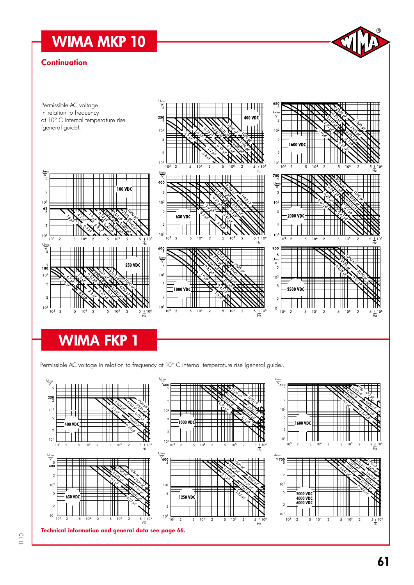# WIMA MKP 10

### **Continuation**



# WIMA FKP 1

Permissible AC voltage in relation to frequency at 10° C internal temperature rise (general guide).



 $^{\circledR}$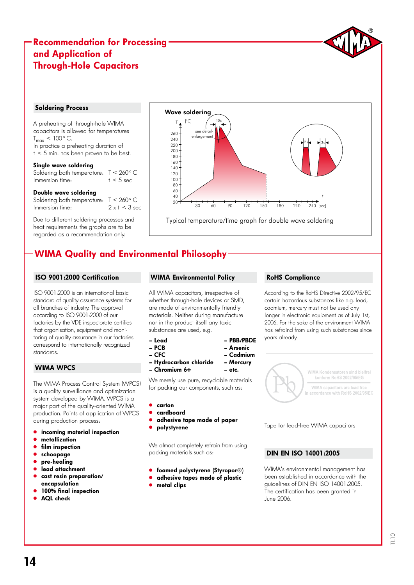# Recommendation for Processing and Application of Through-Hole Capacitors

#### Soldering Process

A preheating of through-hole WIMA capacitors is allowed for temperatures  $T_{max}$  < 100 $^{\circ}$  C. In practice a preheating duration of  $t < 5$  min. has been proven to be best.

#### Single wave soldering

Soldering bath temperature:  $T < 260$  ° C<br>Immersion time:  $t < 5$  sec Immersion time:

#### Double wave soldering

Soldering bath temperature:  $T < 260$  ° C<br>Immersion time:  $2 \times t < 3$  sec Immersion time:

Due to different soldering processes and heat requirements the graphs are to be regarded as a recommendation only.



# WIMA Quality and Environmental Philosophy

#### ISO 9001:2000 Certification

ISO 9001:2000 is an international basic standard of quality assurance systems for all branches of industry. The approval according to ISO 9001:2000 of our factories by the VDE inspectorate certifies that organisation, equipment and monitoring of quality assurance in our factories correspond to internationally recognized standards.

### WIMA WPCS

The WIMA Process Control System (WPCS) is a quality surveillance and optimization system developed by WIMA. WPCS is a major part of the quality-oriented WIMA production. Points of application of WPCS during production process:

- incoming material inspection
- metallization
- film inspection
- schoopage
- pre-healing
- .<br>" lead attachment
- cast resin preparation/ encapsulation
- 100% final inspection
- AQL check

#### WIMA Environmental Policy

All WIMA capacitors, irrespective of whether through-hole devices or SMD, are made of environmentally friendly materials. Neither during manufacture nor in the product itself any toxic substances are used, e.g.

– Lead – PBB/PBDE

- PCB Arsenic
- CFC Cadmium
- Hydrocarbon chloride Mercury
- Chromium 6+ etc.

We merely use pure, recyclable materials for packing our components, such as:

- " carton
- " cardboard
- adhesive tape made of paper
- polystyrene

We almost completely refrain from using packing materials such as:

- **.** foamed polystyrene (Styropor®)
- **.** adhesive tapes made of plastic
- metal clips

#### RoHS Compliance

According to the RoHS Directive 2002/95/EC certain hazardous substances like e.g. lead, cadmium, mercury must not be used any longer in electronic equipment as of July 1st, 2006. For the sake of the environment WIMA has refraind from using such substances since years already.



Tape for lead-free WIMA capacitors

### DIN EN ISO 14001:2005

WIMA's environmental management has been established in accordance with the guidelines of DIN EN ISO 14001:2005. The certification has been granted in June 2006.

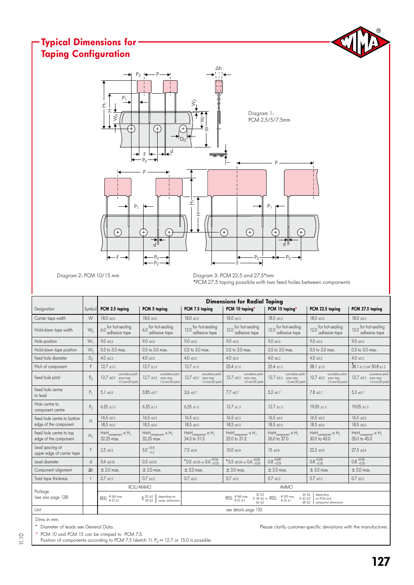#### $^{\circledR}$ Typical Dimensions for Taping ConfigurationΔh  $P_2$   $\rightarrow$ P  $P<sub>1</sub>$  $\hat{\ge}$ H<sup>1</sup> I Diagram 1: ≹  $\bar{z}$ PCM 2.5/5/7.5mm Œ ⋧  $D$ ╒ ┟╾│╼╢┱╝  $P_0$ P  $\,$ P  $P_1$   $\leftarrow$   $\left\|$   $\right\|$   $\frac{1}{1}$  $P<sub>1</sub>$ Hij  $\left( \begin{matrix} + \end{matrix} \right)$  $\left( \begin{matrix} + \end{matrix} \right)$ ⊕ ₽ F d d  $P_0$  $-P_2 \xrightarrow{1} P_0$ F  $-P<sub>2</sub>$ F

Diagram 2: PCM 10/15 mm

Diagram 3: PCM 22.5 and 27.5\*mm \*PCM 27.5 taping possible with two feed holes between components

|                                                  |                |                                                                                             |                                                                                                                  | <b>Dimensions for Radial Taping</b>                                                                                                                                                                                                 |                                                                                                      |                                                                                          |                                                                                              |                                                                                          |  |  |  |  |
|--------------------------------------------------|----------------|---------------------------------------------------------------------------------------------|------------------------------------------------------------------------------------------------------------------|-------------------------------------------------------------------------------------------------------------------------------------------------------------------------------------------------------------------------------------|------------------------------------------------------------------------------------------------------|------------------------------------------------------------------------------------------|----------------------------------------------------------------------------------------------|------------------------------------------------------------------------------------------|--|--|--|--|
| Designation                                      | Symbol         | PCM 2.5 taping                                                                              | PCM 5 taping                                                                                                     | PCM 7.5 taping                                                                                                                                                                                                                      | PCM 10 taping*                                                                                       | PCM 15 taping*                                                                           | PCM 22.5 taping                                                                              | PCM 27.5 taping                                                                          |  |  |  |  |
| Carrier tape width                               | W              | $18.0 \pm 0.5$                                                                              | $18.0 + 0.5$                                                                                                     | $18.0 + 0.5$                                                                                                                                                                                                                        | $18.0 \pm 0.5$                                                                                       | $18.0 + 0.5$                                                                             | $18.0 + 0.5$                                                                                 | $18.0 \pm 0.5$                                                                           |  |  |  |  |
| Hold-down tape width                             | $W_0$          | 6.0 for hot-sealing<br>adhesive tape                                                        | 6.0 for hot-sealing<br>adhesive tape                                                                             | for hot-sealing<br>120<br>adhesive tape                                                                                                                                                                                             | 12.0 for hot-sealing<br>adhesive tape                                                                | 12.0 for hot-sealing<br>adhesive tape                                                    | 12.0 for hot-sealing<br>adhesive tape                                                        | for hot-sealing<br>120<br>adhesive tape                                                  |  |  |  |  |
| Hole position                                    | $W_1$          | $9.0 \pm 0.5$                                                                               | $9.0 \pm 0.5$                                                                                                    | $9.0 \pm 0.5$                                                                                                                                                                                                                       | $9.0 \pm 0.5$                                                                                        | $9.0 \pm 0.5$                                                                            | $9.0 \pm 0.5$                                                                                | $9.0 \pm 0.5$                                                                            |  |  |  |  |
| Hold-down tape position                          | $W_2$          | 0.5 to 3.0 max.                                                                             | $0.5$ to $3.0$ max.                                                                                              | 0.5 to 3.0 max.                                                                                                                                                                                                                     | 0.5 to 3.0 max.                                                                                      | 0.5 to 3.0 max.                                                                          | 0.5 to 3.0 max.                                                                              | 0.5 to 3.0 max.                                                                          |  |  |  |  |
| Feed hole diameter                               | $D_0$          | $4.0 + 0.2$                                                                                 | $4.0 \pm 0.2$                                                                                                    | $4.0 + 0.2$                                                                                                                                                                                                                         | $4.0 \pm 0.2$                                                                                        | $4.0 + 0.2$                                                                              | $4.0 + 0.2$                                                                                  | $4.0 \pm 0.2$                                                                            |  |  |  |  |
| Pitch of component                               | P              | $12.7 + 1.0$                                                                                | $12.7 \pm 1.0$                                                                                                   | $12.7 + 1.0$                                                                                                                                                                                                                        | $25.4 \pm 1.0$                                                                                       | $25.4 \pm 1.0$                                                                           | $38.1 \pm 1.5$                                                                               | $38.1 \pm 1.5$ or $50.8 \pm 1.5$                                                         |  |  |  |  |
| Feed hole pitch                                  | $P_{0}$        | cumulative pitch<br>$12.7 \pm 0.3$ error max.<br>1.0 mm/20 pitch                            | cumulative pitch<br>$12.7 \pm 0.3$ error max.<br>1.0 mm/20 pitch                                                 | cumulative pitch<br>$12.7 \pm 0.3$<br>error max.<br>1.0 mm/20 pitch                                                                                                                                                                 | cumulative pitch<br>$12.7 \pm 0.3$ error max.<br>1.0 mm/20 pitch                                     | cumulative pitch<br>$12.7 \pm 0.3$ error max.<br>1.0 mm/20 pitch                         | cumulative pitch<br>$12.7 \pm 0.3$ error max.<br>1.0 mm/20 pitch                             | cumulative pitch<br>$12.7 \pm 0.3$ error max.<br>1.0 mm/20 pitch                         |  |  |  |  |
| Feed hole centre<br>to lead                      | $P_1$          | 5.1 $\pm 0.5$                                                                               | $3.85 + 0.7$                                                                                                     | $2.6 \pm 0.7$                                                                                                                                                                                                                       | $7.7 + 0.7$                                                                                          | $5.2 + 0.7$                                                                              | $7.8 \pm 0.7$                                                                                | $5.3 \pm 0.7$                                                                            |  |  |  |  |
| Hole centre to<br>component centre               | P <sub>2</sub> | $6.35 \pm 1.3$                                                                              | $6.35 + 1.3$<br>$6.35 + 1.3$                                                                                     |                                                                                                                                                                                                                                     | $12.7 + 1.3$                                                                                         | $12.7 + 1.3$                                                                             | $19.05 + 1.3$                                                                                | $19.05 + 1.3$                                                                            |  |  |  |  |
| Feed hole centre to bottom                       | H              | $16.5 \pm 0.3$                                                                              | $16.5 \pm 0.3$                                                                                                   | $16.5 \pm 0.5$                                                                                                                                                                                                                      | $16.5 \pm 0.5$                                                                                       | $16.5 + 0.5$                                                                             | $16.5 \pm 0.5$                                                                               | $16.5 \pm 0.5$                                                                           |  |  |  |  |
| edge of the component                            |                | $18.5 + 0.5$                                                                                | $18.5 + 0.5$                                                                                                     | $18.5 + 0.5$                                                                                                                                                                                                                        | $18.5 + 0.5$                                                                                         | $18.5 + 0.5$                                                                             | $18.5 + 0.5$                                                                                 | $18.5 + 0.5$                                                                             |  |  |  |  |
| Feed hole centre to top<br>edge of the component | $H_1$          | $\mathsf{H}\text{+}\mathsf{H}_{\mathsf{component}} < \mathsf{H}_{\mathsf{l}}$<br>32.25 max. | $\mathsf{H}{+}\mathsf{H}_{\mathsf{component}} < \mathsf{H}_{\mathsf{1}}$<br>32.25 max.                           | $H + H_{\text{component}} < H_1$<br>24.5 to 31.5                                                                                                                                                                                    | $\mathsf{H}\text{+}\mathsf{H}_{\mathsf{component}}\texttt{<}\mathsf{H}_{\mathrm{l}}$<br>25.0 to 31.5 | $\mathsf{H}{+}\mathsf{H}_{\mathsf{component}} < \mathsf{H}_{\mathsf{l}}$<br>26.0 to 37.0 | $\mathsf{H}{+}\mathsf{H}_{\mathsf{component}} < \mathsf{H}_{\mathsf{I}}$<br>$30.0$ to $43.0$ | $\mathsf{H}{+}\mathsf{H}_{\mathsf{component}} < \mathsf{H}_{\mathsf{1}}$<br>35.0 to 45.0 |  |  |  |  |
| Lead spacing at<br>upper edge of carrier tape    | F              | $2.5 \pm 0.5$                                                                               | $5.0^{+0.8}_{-0.2}$                                                                                              | $7.5 \pm 0.8$                                                                                                                                                                                                                       | $10.0 \pm 0.8$                                                                                       | $15 \pm 0.8$                                                                             | $22.5 \pm 0.8$                                                                               | $27.5 + 0.8$                                                                             |  |  |  |  |
| Lead diameter                                    | $\mathsf{d}$   | $0.4 \pm 0.05$                                                                              | $0.5 \pm 0.05$                                                                                                   | $^{\bullet}$ 0.5 ±0.05 or 0.6 +0.06                                                                                                                                                                                                 | $^{\bullet}$ 0.5 ±0.05 or 0.6 $^{+0,06}_{-0.05}$                                                     | $0.8^{+0,08}_{-0.05}$                                                                    | $0.8 + 0.08$                                                                                 | $0.8^{+0.08}_{-0.05}$                                                                    |  |  |  |  |
| Component alignment                              | $\Delta h$     | $\pm 2.0$ max.                                                                              | $\pm 2.0$ max.                                                                                                   | $\pm$ 3.0 max.                                                                                                                                                                                                                      | $\pm$ 3.0 max.                                                                                       | $\pm$ 3.0 max.                                                                           | $\pm$ 3.0 max.                                                                               | $\pm$ 3.0 max.                                                                           |  |  |  |  |
| Total tape thickness                             | $\ddagger$     | $0.7 \pm 0.2$                                                                               | $0.7 + 0.2$                                                                                                      | $0.7 + 0.2$                                                                                                                                                                                                                         | $0.7 + 0.2$                                                                                          | $0.7 + 0.2$                                                                              | $0.7 + 0.2$                                                                                  | $0.7 + 0.2$                                                                              |  |  |  |  |
|                                                  |                |                                                                                             | ROLL/AMMO                                                                                                        |                                                                                                                                                                                                                                     |                                                                                                      | AMMO                                                                                     |                                                                                              |                                                                                          |  |  |  |  |
| Package<br>Isee also page 1281                   |                | REEL $\frac{\emptyset}{\emptyset}$ 360 max.                                                 | $\mathsf B\,\substack{52\textcolor{red}{\pm 2} \\ 58\textcolor{red}{\pm 2}}$<br>depending on<br>comp. dimensions | $52 + 2$<br>$54 + 2$<br>depending<br>$\emptyset$ 500 max.<br>REEL $\frac{\emptyset}{\emptyset}$ 360 max.<br>$B$ 58 $\pm 2$ or REEL<br>B 60 ±2<br>on PCM and<br>$\varphi$ 25 $\pm$ 1<br>$66 + 2$<br>$68 + 2$<br>component dimensions |                                                                                                      |                                                                                          |                                                                                              |                                                                                          |  |  |  |  |
| Unit                                             |                |                                                                                             |                                                                                                                  |                                                                                                                                                                                                                                     | see details page 130.                                                                                |                                                                                          |                                                                                              |                                                                                          |  |  |  |  |

Dims in mm.

11.10

PCM 10 and PCM 15 can be crimped to PCM 7.5.

Position of components according to PCM 7.5 (sketch 1).  $P_0 = 12.7$  or 15.0 is possible

" Diameter of leads see General Data. Please clarify customer-specific deviations with the manufacturer.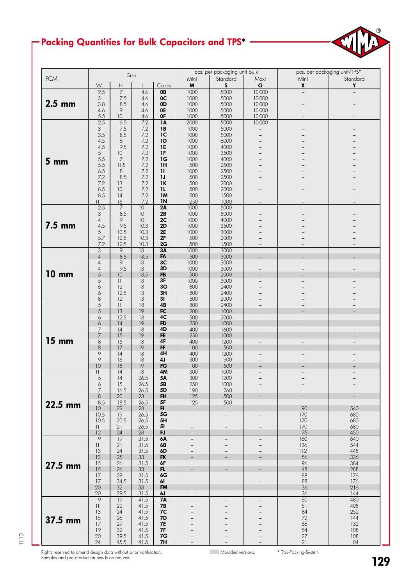# Packing Quantities for Bulk Capacitors and TPS\*



|                 | Size                     |                           |                  |                 |                          | pcs. per packaging unit bulk |                          | pcs. per packaging unit/TPS* |                          |  |  |
|-----------------|--------------------------|---------------------------|------------------|-----------------|--------------------------|------------------------------|--------------------------|------------------------------|--------------------------|--|--|
| <b>PCM</b>      |                          |                           |                  |                 | Mini                     | Standard                     | Maxi                     | Mini                         | Standard                 |  |  |
|                 | ${\mathsf W}$            | $\boldsymbol{\mathsf{H}}$ |                  | Codes           | $\pmb{\mathsf{M}}$       | $\boldsymbol{\mathsf{S}}$    | $\overline{\mathsf{G}}$  | $\overline{\mathbf{x}}$      | $\overline{Y}$           |  |  |
|                 | 2.5                      | $\overline{7}$            | 4.6              | 0B              | 1000                     | 5000                         | 10000                    | $\overline{\phantom{0}}$     | $\overline{\phantom{0}}$ |  |  |
|                 | 3                        | 7.5                       | 4.6              | 0 <sup>C</sup>  | 1000                     | 5000                         | 10000                    |                              |                          |  |  |
| $2.5$ mm        | 3.8                      | 8.5                       | 4.6              | 0D              | 1000                     | 5000                         | 10000                    |                              |                          |  |  |
|                 | 4.6                      | 9                         | 4.6              | 0E              | 1000                     | 5000                         | 10000                    |                              |                          |  |  |
|                 | 5.5                      | 10                        | 4.6              | 0F              | 1000                     | 5000                         | 10000                    |                              |                          |  |  |
|                 | 2.5                      | 6.5                       | $\overline{7.2}$ | $\overline{1A}$ | 2000                     | 5000                         | 10000                    |                              |                          |  |  |
|                 | 3                        | 7.5                       | 7.2              | <b>1B</b>       | 1000                     | 5000                         |                          |                              |                          |  |  |
|                 | 3.5                      | 8.5                       | 7.2              | 1 <sup>C</sup>  | 1000                     | 5000                         |                          |                              |                          |  |  |
|                 | 4.5                      | 6                         | 7.2              | 1D              | 1000                     | 6000                         |                          |                              |                          |  |  |
|                 | 4.5                      | 9.5                       | 7.2              | <b>1E</b>       | 1000                     | 4000                         |                          |                              |                          |  |  |
|                 | 5                        | 10                        | 7.2              | 1F              | 1000                     | 3500                         |                          |                              |                          |  |  |
| 5 <sub>mm</sub> | 5.5                      | 7                         | 7.2              | 1G              | 1000                     | 4000                         |                          |                              |                          |  |  |
|                 | 5.5                      | 11.5                      | 7.2              | 1H              | 500                      | 2500                         |                          |                              |                          |  |  |
|                 | 6.5                      | 8                         | 7.2              | $\mathbf{u}$    | 1000                     | 2500                         |                          |                              |                          |  |  |
|                 | 7.2                      | 8.5                       | 7.2              | 1J              | 500                      | 2500                         |                          |                              |                          |  |  |
|                 | 7.2                      | 13                        | 7.2              | 1K              | 500                      | 2000                         |                          |                              |                          |  |  |
|                 | 8.5                      | 10                        | 7.2              | 11              | 500                      | 2000                         |                          |                              |                          |  |  |
|                 | 8.5                      | 4                         | 7.2              | 1M              | 500                      | 1500                         |                          |                              |                          |  |  |
|                 | $\overline{\phantom{a}}$ | 16                        | 7.2              | <b>IN</b>       | 250                      | 1000                         |                          |                              |                          |  |  |
|                 | 2.5                      | 7                         | 10               | 2A              | 1000                     | 5000                         | $\qquad \qquad -$        |                              |                          |  |  |
|                 | 3                        | 8.5                       | 10               | 2B              | 1000                     | 5000                         |                          |                              |                          |  |  |
|                 | $\overline{4}$           | 9                         | 10               | 2C              | 1000                     | 4000                         |                          |                              |                          |  |  |
| 7.5 mm          | 4.5                      | 9.5                       | 10.3             | 2D              | 1000                     | 3500                         |                          |                              |                          |  |  |
|                 | 5                        | 10.5                      | 10.3             | <b>2E</b>       | 1000                     | 3000                         |                          |                              |                          |  |  |
|                 | 5.7                      | 12.5                      | 10.3             | 2F              | 500                      | 2000                         |                          |                              |                          |  |  |
|                 | 7.2                      | 12.5                      | 10.3             | 2G              | 500                      | 1500                         | $\overline{\phantom{0}}$ |                              |                          |  |  |
|                 | 3                        | $\overline{9}$            | 13               | 3A              | 1000                     | 3000                         | $\overline{\phantom{a}}$ | $\qquad \qquad -$            | $\overline{\phantom{a}}$ |  |  |
|                 | $\overline{4}$           | 8.5                       | 13.5             | FA              | 500                      | 3000                         |                          |                              |                          |  |  |
|                 | $\overline{4}$           | 9                         | 13               | 3 <sub>C</sub>  | 1000                     | 3000                         | $\overline{a}$           |                              |                          |  |  |
|                 | $\overline{4}$           | 9.5                       | 13               | 3D              | 1000                     | 3000                         |                          |                              |                          |  |  |
| <b>10 mm</b>    | 5                        | 10                        | 13.5             | FB              | 500                      | 2000                         |                          |                              |                          |  |  |
|                 | 5                        | $\mathbf{  }$             | 13               | 3F              | 1000                     | 3000                         |                          |                              |                          |  |  |
|                 | 6                        | 12                        | 13               | 3G              | 800                      | 2400                         |                          |                              |                          |  |  |
|                 | 6                        | 12.5                      | 13               | 3H              | 800                      | 2400                         |                          |                              |                          |  |  |
|                 | 8                        | 12                        | 13               | 31              | 500                      | 2000                         |                          |                              |                          |  |  |
|                 | $\overline{5}$           | $\overline{11}$           | $\overline{18}$  | 4B              | 800                      | 2400                         | $\overline{\phantom{0}}$ | $\equiv$                     | $\overline{a}$           |  |  |
|                 | 5                        | 13                        | 19               | FC              | 200                      | 1000                         |                          | $\overline{\phantom{0}}$     |                          |  |  |
|                 | 6                        | 12.5                      | 18               | 4C              | 500                      | 2000                         | $\overline{\phantom{0}}$ | $\overline{\phantom{0}}$     | $\qquad \qquad -$        |  |  |
|                 | 6                        | 4                         | 19               | <b>FD</b>       | 250                      | 1000                         |                          |                              |                          |  |  |
|                 | 7                        | 4                         | 18               | 4D              | 400                      | 1600                         | $\overline{\phantom{0}}$ | $-$                          |                          |  |  |
|                 | 7                        | 15                        | 19               | <b>FE</b>       | 250                      | 1000                         |                          |                              |                          |  |  |
| <b>15 mm</b>    | 8                        | 15                        | 18               | 4F              | 400                      | 1200                         | $\overline{\phantom{0}}$ | $\overline{\phantom{0}}$     |                          |  |  |
|                 | $\,8\,$                  | 17                        | 19               | FF              | 100                      | 500                          |                          |                              |                          |  |  |
|                 | 9                        | 4                         | 18               | 4H              | 400                      | 1200                         |                          |                              |                          |  |  |
|                 | 9                        | 16                        | 18               | 4J              | 300                      | 900                          |                          |                              |                          |  |  |
|                 | 10                       | 18                        | 19               | FG              | 100                      | 500                          |                          |                              |                          |  |  |
|                 | $\vert \vert$            | 4                         | 18               | 4M              | 300                      | 1000                         | $\qquad \qquad -$        | $\overline{\phantom{0}}$     |                          |  |  |
|                 | $\overline{5}$           | $\overline{14}$           | 26.5             | 5A              | 300                      | 1200                         |                          |                              |                          |  |  |
|                 | 6                        | 15                        | 26.5             | 5B              | 250                      | 1000                         |                          |                              |                          |  |  |
|                 | 7                        | 16.5                      | 26.5             | 5D              | 190                      | 760                          |                          |                              |                          |  |  |
|                 | 8                        | 20<br>18.5                | 28               | FH              | 125                      | 500                          |                          |                              |                          |  |  |
| 22.5 mm         | 8.5<br>10                | 22                        | 26.5<br>28       | 5F<br>FI        | 125                      | 500                          | $\overline{\phantom{0}}$ | 90                           | 540                      |  |  |
|                 | 10.5                     | 19                        | 26.5             | 5G              | $\overline{\phantom{0}}$ |                              |                          | 170                          | 680                      |  |  |
|                 | 10.5                     | 20.5                      | 26.5             | 5H              |                          |                              |                          | 170                          | 680                      |  |  |
|                 | $\vert \vert$            | 21                        | 26.5             | 51              | $\overline{\phantom{0}}$ | $\overline{\phantom{0}}$     |                          | 170                          | 680                      |  |  |
|                 | 12                       | 24                        | 28               | <b>FJ</b>       |                          |                              |                          | 75                           | 450                      |  |  |
|                 | 9                        | 9                         | 31.5             | 6A              | $\overline{\phantom{0}}$ |                              | ♦                        | 160                          | 640                      |  |  |
|                 | $\left  {}\right $       | 21                        | 31.5             | 6B              |                          |                              |                          | 136                          | 544                      |  |  |
|                 | 13                       | 24                        | 31.5             | 6D              | —<br>$\qquad \qquad -$   |                              | —                        | 112                          | 448                      |  |  |
|                 | 13                       | 25                        | 33               | <b>FK</b>       |                          |                              |                          | 56                           | 336                      |  |  |
|                 | 15                       | 26                        | 31.5             | 6F              | $\overline{\phantom{a}}$ | $\overline{\phantom{a}}$     | $\overline{\phantom{0}}$ | 96                           | 384                      |  |  |
| 27.5 mm         | 15                       | 26                        | 33               | FL              | $\qquad \qquad -$        |                              |                          | 48                           | 288                      |  |  |
|                 | 17                       | 29                        | 31.5             | 6G              | $\qquad \qquad -$        |                              | $\overline{\phantom{0}}$ | 88                           | 176                      |  |  |
|                 | 17                       | 34.5                      | 31.5             | 61              | $\qquad \qquad -$        |                              | $\overline{\phantom{0}}$ | 88                           | 176                      |  |  |
|                 | 20                       | 32                        | 33               | <b>FM</b>       |                          |                              |                          | 36                           | 216                      |  |  |
|                 | 20                       | 39.5                      | 31.5             | 6J              |                          |                              |                          | 36                           | 144                      |  |  |
|                 | $\overline{9}$           | 19                        | 41.5             | <b>7A</b>       | $\overline{a}$           |                              | $\overline{\phantom{0}}$ | 60                           | 480                      |  |  |
|                 | $\vert \vert$            | 22                        | 41.5             | 7B              | $\overline{\phantom{0}}$ |                              | —                        | 51                           | 408                      |  |  |
|                 | 13                       | 24                        | 41.5             | <b>7C</b>       |                          |                              |                          | 84                           | 252                      |  |  |
|                 | 15                       | 26                        | 41.5             | <b>7D</b>       |                          |                              |                          |                              | 144                      |  |  |
| 37.5 mm         | 17                       | 29                        | 41.5             | <b>7E</b>       | $\qquad \qquad -$        |                              | <sup>-</sup>             | 72<br>66                     | 132                      |  |  |
|                 | 19                       | 32                        | 41.5             | <b>7F</b>       |                          |                              |                          | 54                           | 108                      |  |  |
|                 | $20\,$                   | 39.5                      | 41.5             | 7G              | $\qquad \qquad -$        |                              | —                        | 27                           | 108                      |  |  |
|                 | 24                       | 45.5                      | 41.5             | <b>7H</b>       | $\overline{\phantom{0}}$ |                              | $\overline{\phantom{0}}$ | 21                           | 84                       |  |  |
|                 |                          |                           |                  |                 |                          |                              |                          |                              |                          |  |  |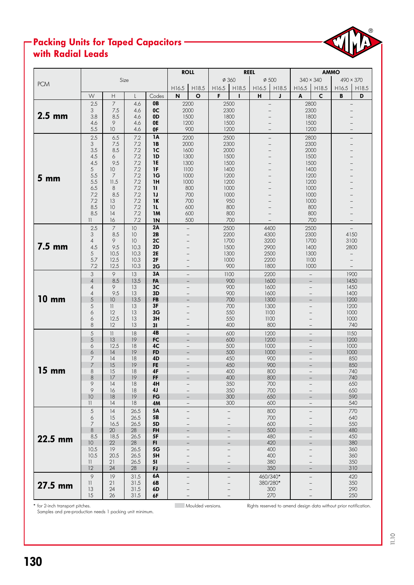# Packing Units for Taped Capacitors with Radial Leads



\* for 2-inch transport pitches. Moulded versions. Rights reserved to amend design data without prior notification.

Samples and pre-production needs 1 packing unit minimum.